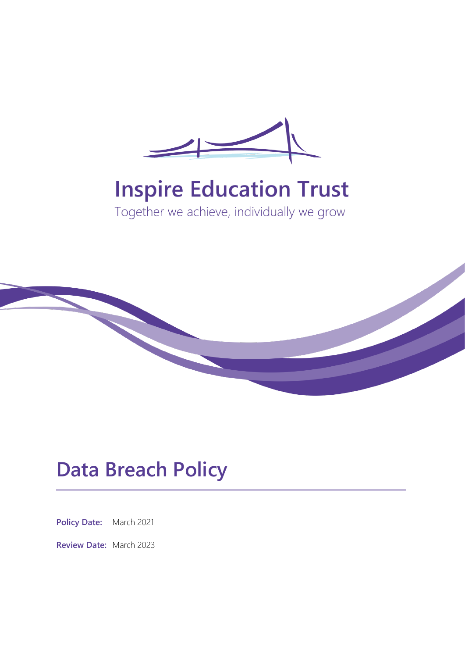

# **Inspire Education Trust**

Together we achieve, individually we grow



## **Data Breach Policy**

**Policy Date:** March 2021

**Review Date:** March 2023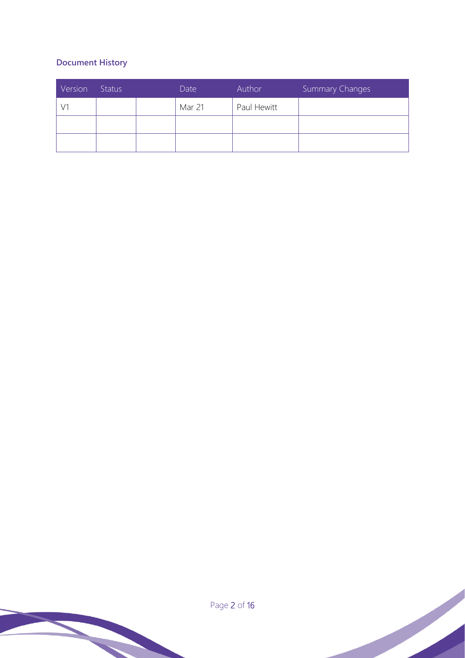## **Document History**

| Version | Status | Date   | Author      | Summary Changes |
|---------|--------|--------|-------------|-----------------|
|         |        | Mar 21 | Paul Hewitt |                 |
|         |        |        |             |                 |
|         |        |        |             |                 |

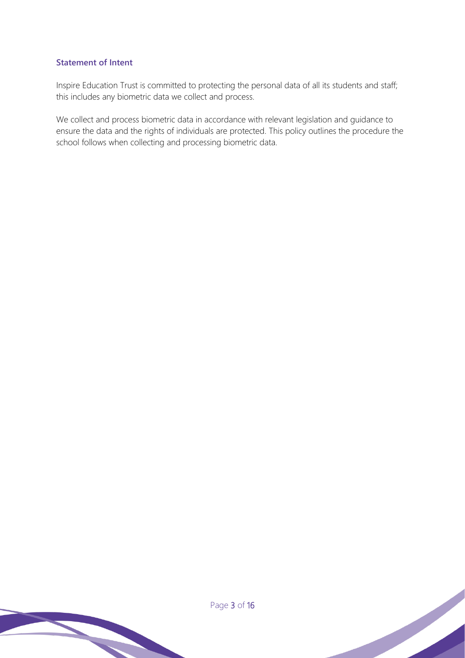### **Statement of Intent**

Inspire Education Trust is committed to protecting the personal data of all its students and staff; this includes any biometric data we collect and process.

We collect and process biometric data in accordance with relevant legislation and guidance to ensure the data and the rights of individuals are protected. This policy outlines the procedure the school follows when collecting and processing biometric data.

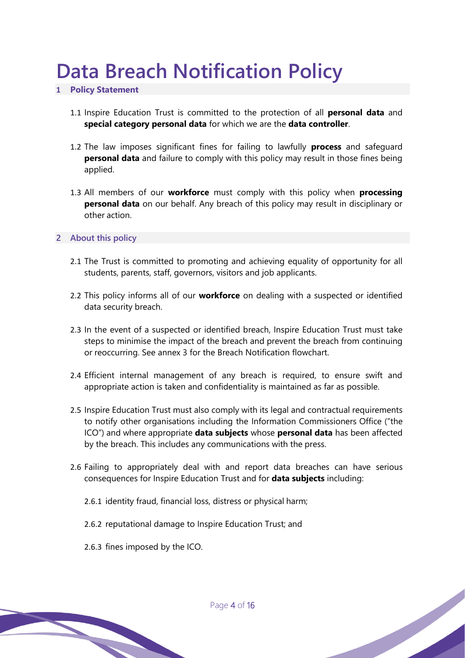# **Data Breach Notification Policy**

### **1 Policy Statement**

- 1.1 Inspire Education Trust is committed to the protection of all **personal data** and **special category personal data** for which we are the **data controller**.
- 1.2 The law imposes significant fines for failing to lawfully **process** and safeguard **personal data** and failure to comply with this policy may result in those fines being applied.
- 1.3 All members of our **workforce** must comply with this policy when **processing personal data** on our behalf. Any breach of this policy may result in disciplinary or other action.

**2 About this policy**

- 2.1 The Trust is committed to promoting and achieving equality of opportunity for all students, parents, staff, governors, visitors and job applicants.
- 2.2 This policy informs all of our **workforce** on dealing with a suspected or identified data security breach.
- 2.3 In the event of a suspected or identified breach, Inspire Education Trust must take steps to minimise the impact of the breach and prevent the breach from continuing or reoccurring. See annex 3 for the Breach Notification flowchart.
- 2.4 Efficient internal management of any breach is required, to ensure swift and appropriate action is taken and confidentiality is maintained as far as possible.
- 2.5 Inspire Education Trust must also comply with its legal and contractual requirements to notify other organisations including the Information Commissioners Office ("the ICO") and where appropriate **data subjects** whose **personal data** has been affected by the breach. This includes any communications with the press.
- 2.6 Failing to appropriately deal with and report data breaches can have serious consequences for Inspire Education Trust and for **data subjects** including:
	- 2.6.1 identity fraud, financial loss, distress or physical harm;
	- 2.6.2 reputational damage to Inspire Education Trust; and
	- 2.6.3 fines imposed by the ICO.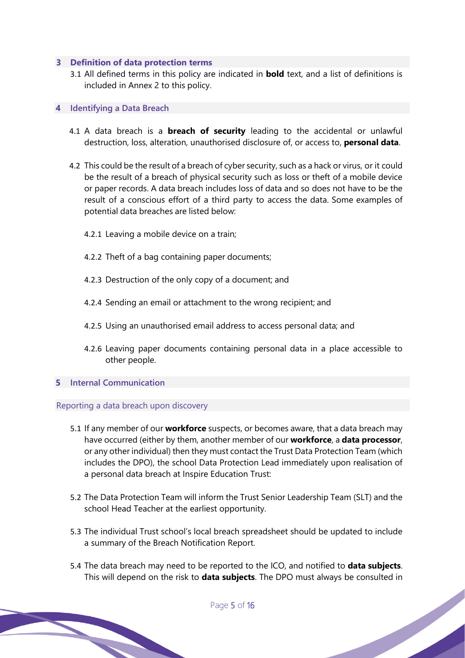#### **3 Definition of data protection terms**

3.1 All defined terms in this policy are indicated in **bold** text, and a list of definitions is included in Annex 2 to this policy.

#### **4 Identifying a Data Breach**

- 4.1 A data breach is a **breach of security** leading to the accidental or unlawful destruction, loss, alteration, unauthorised disclosure of, or access to, **personal data**.
- 4.2 This could be the result of a breach of cyber security, such as a hack or virus, or it could be the result of a breach of physical security such as loss or theft of a mobile device or paper records. A data breach includes loss of data and so does not have to be the result of a conscious effort of a third party to access the data. Some examples of potential data breaches are listed below:
	- 4.2.1 Leaving a mobile device on a train;
	- 4.2.2 Theft of a bag containing paper documents;
	- 4.2.3 Destruction of the only copy of a document; and
	- 4.2.4 Sending an email or attachment to the wrong recipient; and
	- 4.2.5 Using an unauthorised email address to access personal data; and
	- 4.2.6 Leaving paper documents containing personal data in a place accessible to other people.

#### **5 Internal Communication**

#### Reporting a data breach upon discovery

- 5.1 If any member of our **workforce** suspects, or becomes aware, that a data breach may have occurred (either by them, another member of our **workforce**, a **data processor**, or any other individual) then they must contact the Trust Data Protection Team (which includes the DPO), the school Data Protection Lead immediately upon realisation of a personal data breach at Inspire Education Trust:
- 5.2 The Data Protection Team will inform the Trust Senior Leadership Team (SLT) and the school Head Teacher at the earliest opportunity.
- 5.3 The individual Trust school's local breach spreadsheet should be updated to include a summary of the Breach Notification Report.
- 5.4 The data breach may need to be reported to the ICO, and notified to **data subjects**. This will depend on the risk to **data subjects**. The DPO must always be consulted in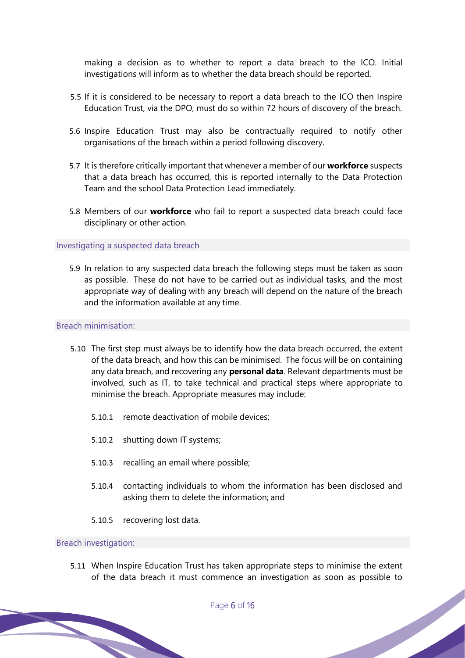making a decision as to whether to report a data breach to the ICO. Initial investigations will inform as to whether the data breach should be reported.

- 5.5 If it is considered to be necessary to report a data breach to the ICO then Inspire Education Trust, via the DPO, must do so within 72 hours of discovery of the breach.
- 5.6 Inspire Education Trust may also be contractually required to notify other organisations of the breach within a period following discovery.
- 5.7 It is therefore critically important that whenever a member of our **workforce** suspects that a data breach has occurred, this is reported internally to the Data Protection Team and the school Data Protection Lead immediately.
- 5.8 Members of our **workforce** who fail to report a suspected data breach could face disciplinary or other action.

#### Investigating a suspected data breach

5.9 In relation to any suspected data breach the following steps must be taken as soon as possible. These do not have to be carried out as individual tasks, and the most appropriate way of dealing with any breach will depend on the nature of the breach and the information available at any time.

#### Breach minimisation:

- 5.10 The first step must always be to identify how the data breach occurred, the extent of the data breach, and how this can be minimised. The focus will be on containing any data breach, and recovering any **personal data**. Relevant departments must be involved, such as IT, to take technical and practical steps where appropriate to minimise the breach. Appropriate measures may include:
	- 5.10.1 remote deactivation of mobile devices;
	- 5.10.2 shutting down IT systems;
	- 5.10.3 recalling an email where possible;
	- 5.10.4 contacting individuals to whom the information has been disclosed and asking them to delete the information; and
	- 5.10.5 recovering lost data.

#### Breach investigation:

5.11 When Inspire Education Trust has taken appropriate steps to minimise the extent of the data breach it must commence an investigation as soon as possible to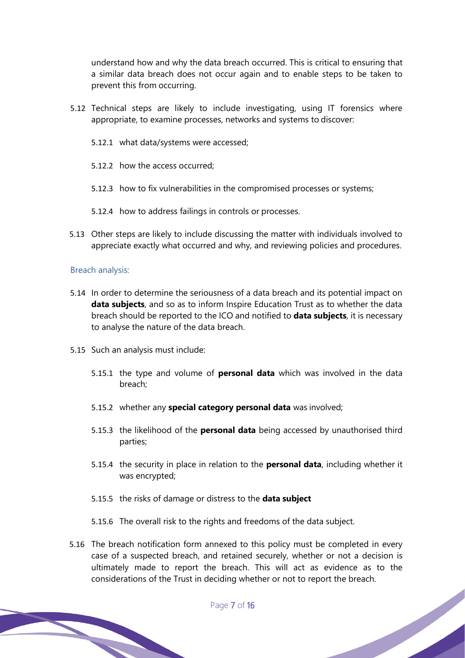understand how and why the data breach occurred. This is critical to ensuring that a similar data breach does not occur again and to enable steps to be taken to prevent this from occurring.

- 5.12 Technical steps are likely to include investigating, using IT forensics where appropriate, to examine processes, networks and systems to discover:
	- 5.12.1 what data/systems were accessed;
	- 5.12.2 how the access occurred;
	- 5.12.3 how to fix vulnerabilities in the compromised processes or systems;
	- 5.12.4 how to address failings in controls or processes.
- 5.13 Other steps are likely to include discussing the matter with individuals involved to appreciate exactly what occurred and why, and reviewing policies and procedures.

#### Breach analysis:

- 5.14 In order to determine the seriousness of a data breach and its potential impact on **data subjects**, and so as to inform Inspire Education Trust as to whether the data breach should be reported to the ICO and notified to **data subjects**, it is necessary to analyse the nature of the data breach.
- 5.15 Such an analysis must include:
	- 5.15.1 the type and volume of **personal data** which was involved in the data breach;
	- 5.15.2 whether any **special category personal data** was involved;
	- 5.15.3 the likelihood of the **personal data** being accessed by unauthorised third parties;
	- 5.15.4 the security in place in relation to the **personal data**, including whether it was encrypted;
	- 5.15.5 the risks of damage or distress to the **data subject**
	- 5.15.6 The overall risk to the rights and freedoms of the data subject.
- 5.16 The breach notification form annexed to this policy must be completed in every case of a suspected breach, and retained securely, whether or not a decision is ultimately made to report the breach. This will act as evidence as to the considerations of the Trust in deciding whether or not to report the breach.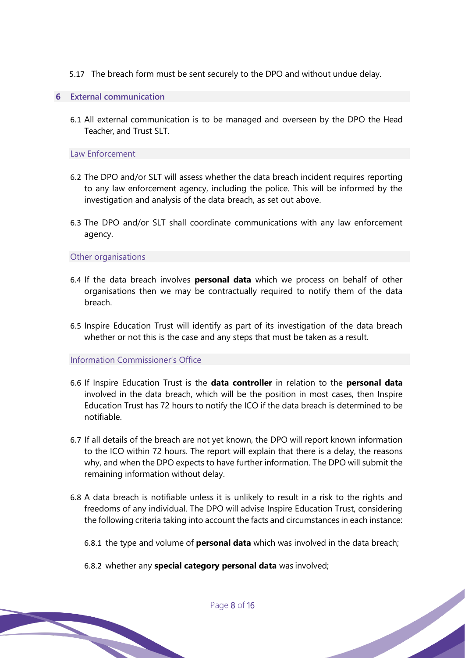- 5.17 The breach form must be sent securely to the DPO and without undue delay.
- **6 External communication**
	- 6.1 All external communication is to be managed and overseen by the DPO the Head Teacher, and Trust SLT.

#### Law Enforcement

- 6.2 The DPO and/or SLT will assess whether the data breach incident requires reporting to any law enforcement agency, including the police. This will be informed by the investigation and analysis of the data breach, as set out above.
- 6.3 The DPO and/or SLT shall coordinate communications with any law enforcement agency.

Other organisations

- 6.4 If the data breach involves **personal data** which we process on behalf of other organisations then we may be contractually required to notify them of the data breach.
- 6.5 Inspire Education Trust will identify as part of its investigation of the data breach whether or not this is the case and any steps that must be taken as a result.

Information Commissioner's Office

- 6.6 If Inspire Education Trust is the **data controller** in relation to the **personal data**  involved in the data breach, which will be the position in most cases, then Inspire Education Trust has 72 hours to notify the ICO if the data breach is determined to be notifiable.
- 6.7 If all details of the breach are not yet known, the DPO will report known information to the ICO within 72 hours. The report will explain that there is a delay, the reasons why, and when the DPO expects to have further information. The DPO will submit the remaining information without delay.
- 6.8 A data breach is notifiable unless it is unlikely to result in a risk to the rights and freedoms of any individual. The DPO will advise Inspire Education Trust, considering the following criteria taking into account the facts and circumstances in each instance:
	- 6.8.1 the type and volume of **personal data** which was involved in the data breach;
	- 6.8.2 whether any **special category personal data** was involved;

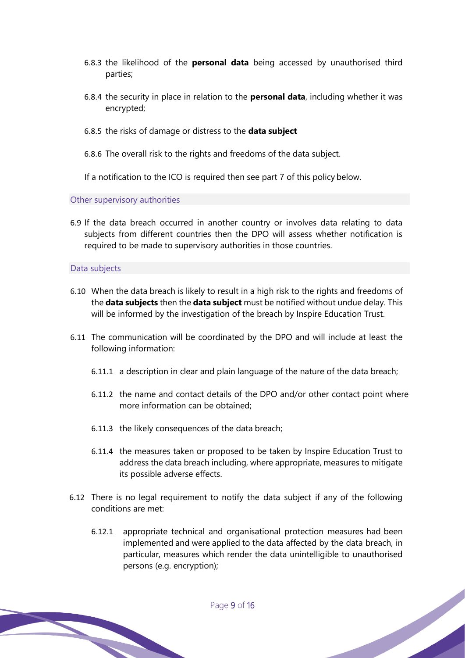- 6.8.3 the likelihood of the **personal data** being accessed by unauthorised third parties;
- 6.8.4 the security in place in relation to the **personal data**, including whether it was encrypted;
- 6.8.5 the risks of damage or distress to the **data subject**
- 6.8.6 The overall risk to the rights and freedoms of the data subject.

If a notification to the ICO is required then see part 7 of this policy below.

Other supervisory authorities

6.9 If the data breach occurred in another country or involves data relating to data subjects from different countries then the DPO will assess whether notification is required to be made to supervisory authorities in those countries.

#### Data subjects

- 6.10 When the data breach is likely to result in a high risk to the rights and freedoms of the **data subjects** then the **data subject** must be notified without undue delay. This will be informed by the investigation of the breach by Inspire Education Trust.
- 6.11 The communication will be coordinated by the DPO and will include at least the following information:
	- 6.11.1 a description in clear and plain language of the nature of the data breach;
	- 6.11.2 the name and contact details of the DPO and/or other contact point where more information can be obtained;
	- 6.11.3 the likely consequences of the data breach;
	- 6.11.4 the measures taken or proposed to be taken by Inspire Education Trust to address the data breach including, where appropriate, measures to mitigate its possible adverse effects.
- 6.12 There is no legal requirement to notify the data subject if any of the following conditions are met:
	- 6.12.1 appropriate technical and organisational protection measures had been implemented and were applied to the data affected by the data breach, in particular, measures which render the data unintelligible to unauthorised persons (e.g. encryption);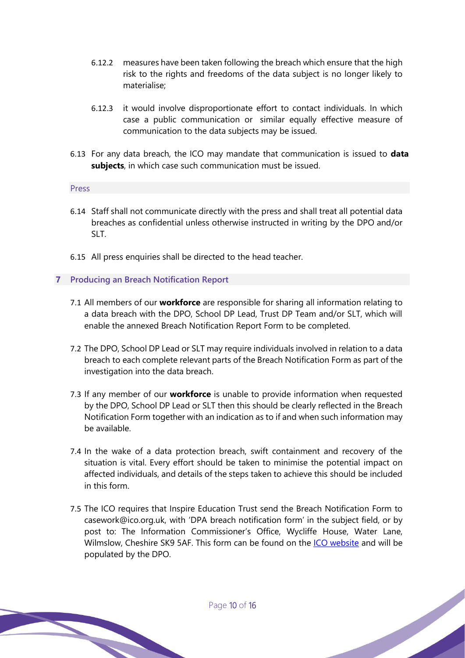- 6.12.2 measures have been taken following the breach which ensure that the high risk to the rights and freedoms of the data subject is no longer likely to materialise;
- 6.12.3 it would involve disproportionate effort to contact individuals. In which case a public communication or similar equally effective measure of communication to the data subjects may be issued.
- 6.13 For any data breach, the ICO may mandate that communication is issued to **data subjects**, in which case such communication must be issued.

#### Press

- 6.14 Staff shall not communicate directly with the press and shall treat all potential data breaches as confidential unless otherwise instructed in writing by the DPO and/or SLT.
- 6.15 All press enquiries shall be directed to the head teacher.

#### **7 Producing an Breach Notification Report**

- 7.1 All members of our **workforce** are responsible for sharing all information relating to a data breach with the DPO, School DP Lead, Trust DP Team and/or SLT, which will enable the annexed Breach Notification Report Form to be completed.
- 7.2 The DPO, School DP Lead or SLT may require individuals involved in relation to a data breach to each complete relevant parts of the Breach Notification Form as part of the investigation into the data breach.
- 7.3 If any member of our **workforce** is unable to provide information when requested by the DPO, School DP Lead or SLT then this should be clearly reflected in the Breach Notification Form together with an indication as to if and when such information may be available.
- 7.4 In the wake of a data protection breach, swift containment and recovery of the situation is vital. Every effort should be taken to minimise the potential impact on affected individuals, and details of the steps taken to achieve this should be included in this form.
- 7.5 The ICO requires that Inspire Education Trust send the Breach Notification Form to casework@ico.org.uk, with 'DPA breach notification form' in the subject field, or by post to: The Information Commissioner's Office, Wycliffe House, Water Lane, Wilmslow, Cheshire SK9 5AF. This form can be found on the ICO website and will be populated by the DPO.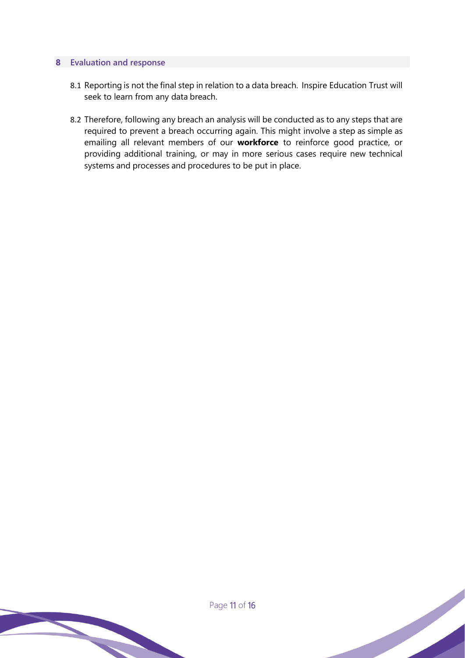#### **8 Evaluation and response**

- 8.1 Reporting is not the final step in relation to a data breach. Inspire Education Trust will seek to learn from any data breach.
- 8.2 Therefore, following any breach an analysis will be conducted as to any steps that are required to prevent a breach occurring again. This might involve a step as simple as emailing all relevant members of our **workforce** to reinforce good practice, or providing additional training, or may in more serious cases require new technical systems and processes and procedures to be put in place.

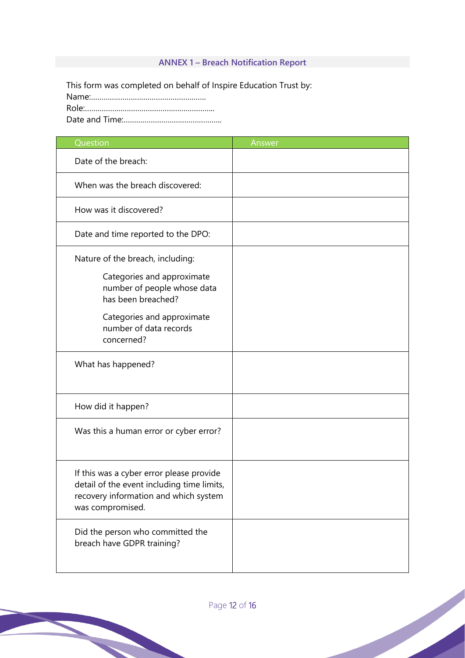## **ANNEX 1 – Breach Notification Report**

This form was completed on behalf of Inspire Education Trust by: Name:………………………………………………. Role:…………………………………………………….. Date and Time:………………………………………..

| Question                                                                                                                                            | Answer |
|-----------------------------------------------------------------------------------------------------------------------------------------------------|--------|
| Date of the breach:                                                                                                                                 |        |
| When was the breach discovered:                                                                                                                     |        |
| How was it discovered?                                                                                                                              |        |
| Date and time reported to the DPO:                                                                                                                  |        |
| Nature of the breach, including:<br>Categories and approximate<br>number of people whose data                                                       |        |
| has been breached?<br>Categories and approximate<br>number of data records<br>concerned?                                                            |        |
| What has happened?                                                                                                                                  |        |
| How did it happen?                                                                                                                                  |        |
| Was this a human error or cyber error?                                                                                                              |        |
| If this was a cyber error please provide<br>detail of the event including time limits,<br>recovery information and which system<br>was compromised. |        |
| Did the person who committed the<br>breach have GDPR training?                                                                                      |        |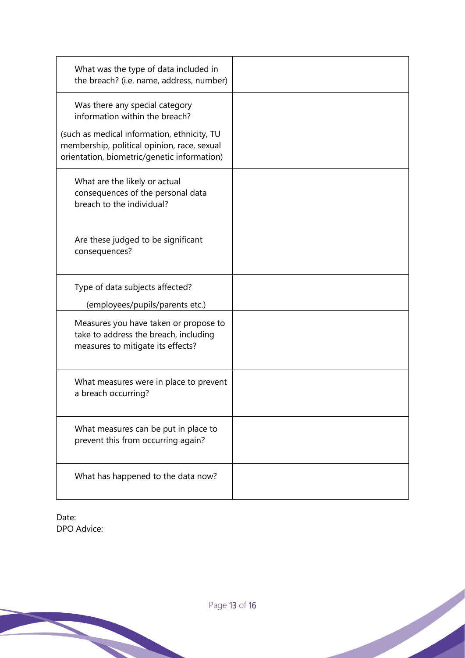| What was the type of data included in<br>the breach? (i.e. name, address, number)                                                         |  |
|-------------------------------------------------------------------------------------------------------------------------------------------|--|
| Was there any special category<br>information within the breach?                                                                          |  |
| (such as medical information, ethnicity, TU<br>membership, political opinion, race, sexual<br>orientation, biometric/genetic information) |  |
| What are the likely or actual<br>consequences of the personal data<br>breach to the individual?                                           |  |
| Are these judged to be significant<br>consequences?                                                                                       |  |
| Type of data subjects affected?                                                                                                           |  |
| (employees/pupils/parents etc.)                                                                                                           |  |
| Measures you have taken or propose to<br>take to address the breach, including<br>measures to mitigate its effects?                       |  |
| What measures were in place to prevent<br>a breach occurring?                                                                             |  |
| What measures can be put in place to<br>prevent this from occurring again?                                                                |  |
| What has happened to the data now?                                                                                                        |  |

Date: DPO Advice: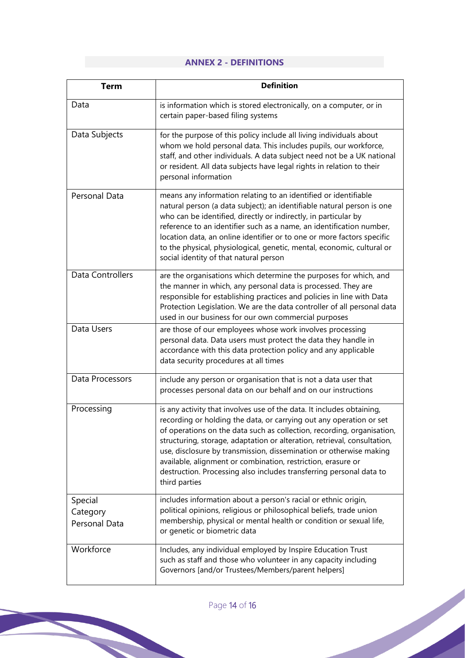## **ANNEX 2 - DEFINITIONS**

| <b>Term</b>                          | <b>Definition</b>                                                                                                                                                                                                                                                                                                                                                                                                                                                                                                                |
|--------------------------------------|----------------------------------------------------------------------------------------------------------------------------------------------------------------------------------------------------------------------------------------------------------------------------------------------------------------------------------------------------------------------------------------------------------------------------------------------------------------------------------------------------------------------------------|
| Data                                 | is information which is stored electronically, on a computer, or in<br>certain paper-based filing systems                                                                                                                                                                                                                                                                                                                                                                                                                        |
| Data Subjects                        | for the purpose of this policy include all living individuals about<br>whom we hold personal data. This includes pupils, our workforce,<br>staff, and other individuals. A data subject need not be a UK national<br>or resident. All data subjects have legal rights in relation to their<br>personal information                                                                                                                                                                                                               |
| Personal Data                        | means any information relating to an identified or identifiable<br>natural person (a data subject); an identifiable natural person is one<br>who can be identified, directly or indirectly, in particular by<br>reference to an identifier such as a name, an identification number,<br>location data, an online identifier or to one or more factors specific<br>to the physical, physiological, genetic, mental, economic, cultural or<br>social identity of that natural person                                               |
| Data Controllers                     | are the organisations which determine the purposes for which, and<br>the manner in which, any personal data is processed. They are<br>responsible for establishing practices and policies in line with Data<br>Protection Legislation. We are the data controller of all personal data<br>used in our business for our own commercial purposes                                                                                                                                                                                   |
| Data Users                           | are those of our employees whose work involves processing<br>personal data. Data users must protect the data they handle in<br>accordance with this data protection policy and any applicable<br>data security procedures at all times                                                                                                                                                                                                                                                                                           |
| Data Processors                      | include any person or organisation that is not a data user that<br>processes personal data on our behalf and on our instructions                                                                                                                                                                                                                                                                                                                                                                                                 |
| Processing                           | is any activity that involves use of the data. It includes obtaining,<br>recording or holding the data, or carrying out any operation or set<br>of operations on the data such as collection, recording, organisation,<br>structuring, storage, adaptation or alteration, retrieval, consultation,<br>use, disclosure by transmission, dissemination or otherwise making<br>available, alignment or combination, restriction, erasure or<br>destruction. Processing also includes transferring personal data to<br>third parties |
| Special<br>Category<br>Personal Data | includes information about a person's racial or ethnic origin,<br>political opinions, religious or philosophical beliefs, trade union<br>membership, physical or mental health or condition or sexual life,<br>or genetic or biometric data                                                                                                                                                                                                                                                                                      |
| Workforce                            | Includes, any individual employed by Inspire Education Trust<br>such as staff and those who volunteer in any capacity including<br>Governors [and/or Trustees/Members/parent helpers]                                                                                                                                                                                                                                                                                                                                            |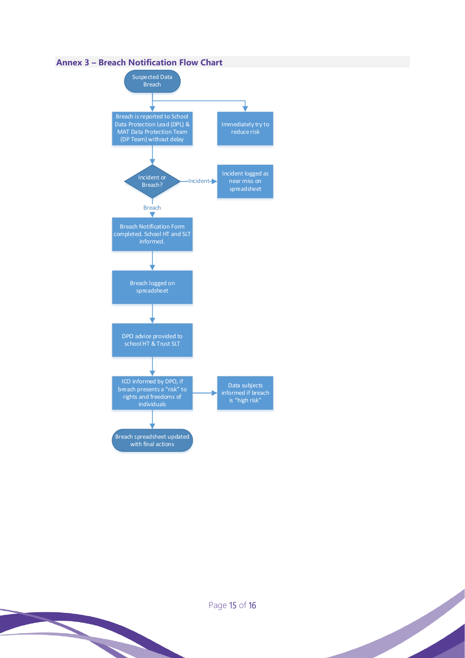### **Annex 3 – Breach Notification Flow Chart**